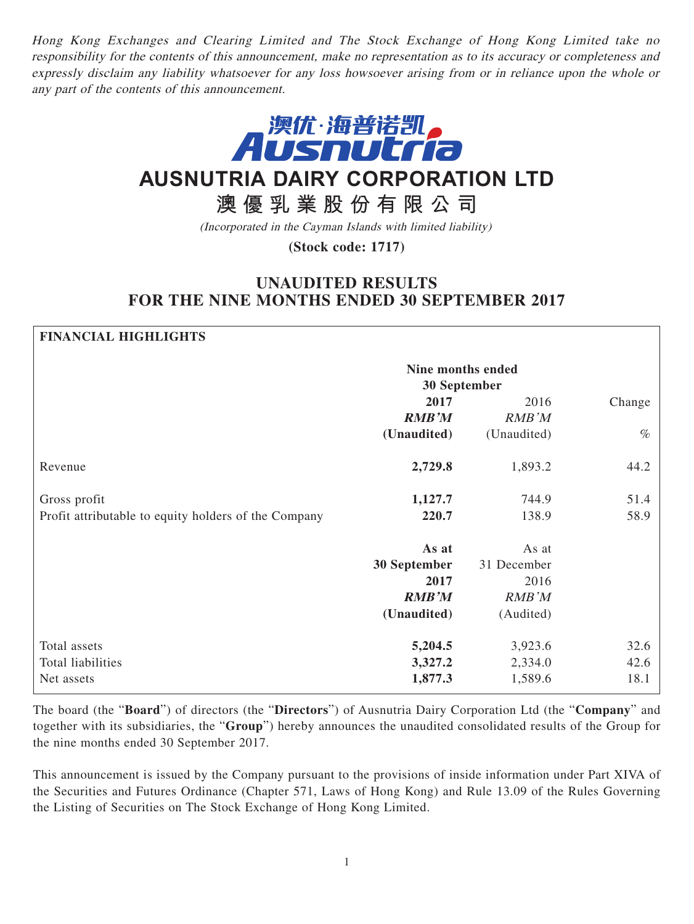Hong Kong Exchanges and Clearing Limited and The Stock Exchange of Hong Kong Limited take no responsibility for the contents of this announcement, make no representation as to its accuracy or completeness and expressly disclaim any liability whatsoever for any loss howsoever arising from or in reliance upon the whole or any part of the contents of this announcement.



# **AUSNUTRIA DAIRY CORPORATION LTD**

## **澳優乳業股份有限公司**

(Incorporated in the Cayman Islands with limited liability)

**(Stock code: 1717)**

## **UNAUDITED RESULTS FOR THE NINE MONTHS ENDED 30 SEPTEMBER 2017**

## **FINANCIAL HIGHLIGHTS Nine months ended 30 September 2017** 2016 Change **RMB'M** RMB'M **(Unaudited)** (Unaudited) % Revenue **2,729.8** 1,893.2 44.2 Gross profit **1,127.7** 744.9 51.4 Profit attributable to equity holders of the Company **220.7** 138.9 58.9 **As at 30 September** As at 31 December **2017** 2016 **RMB'M** RMB'M **(Unaudited)** (Audited) Total assets **5,204.5** 3,923.6 32.6 Total liabilities **3,327.2** 2,334.0 42.6 Net assets **1,877.3** 1,589.6 18.1

The board (the "**Board**") of directors (the "**Directors**") of Ausnutria Dairy Corporation Ltd (the "**Company**" and together with its subsidiaries, the "**Group**") hereby announces the unaudited consolidated results of the Group for the nine months ended 30 September 2017.

This announcement is issued by the Company pursuant to the provisions of inside information under Part XIVA of the Securities and Futures Ordinance (Chapter 571, Laws of Hong Kong) and Rule 13.09 of the Rules Governing the Listing of Securities on The Stock Exchange of Hong Kong Limited.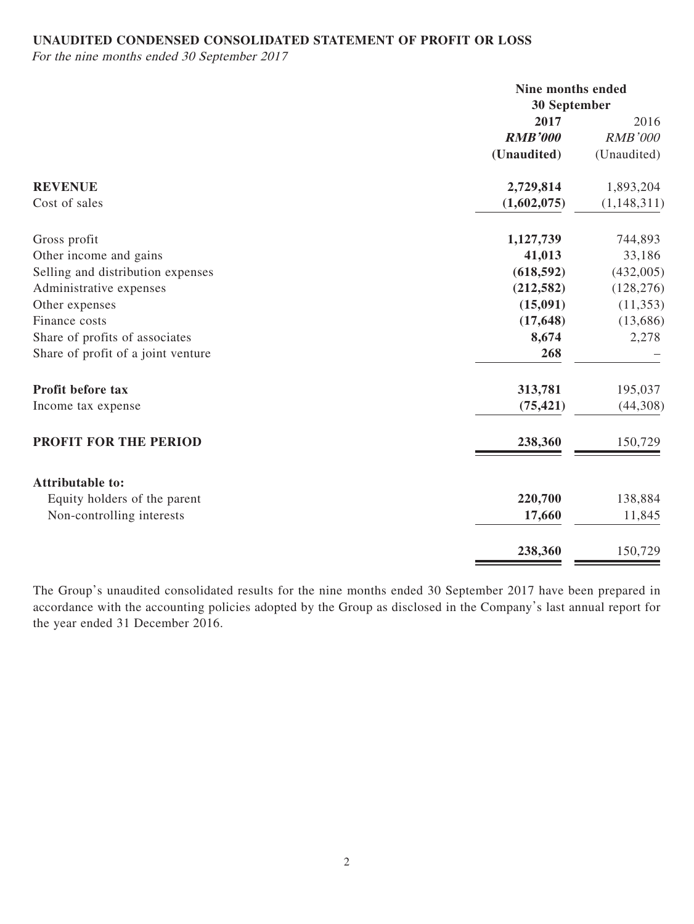## **UNAUDITED CONDENSED CONSOLIDATED STATEMENT OF PROFIT OR LOSS**

For the nine months ended 30 September 2017

|                                    |                | Nine months ended<br>30 September |  |
|------------------------------------|----------------|-----------------------------------|--|
|                                    | 2017           | 2016                              |  |
|                                    | <b>RMB'000</b> | <b>RMB'000</b>                    |  |
|                                    | (Unaudited)    | (Unaudited)                       |  |
| <b>REVENUE</b>                     | 2,729,814      | 1,893,204                         |  |
| Cost of sales                      | (1,602,075)    | (1, 148, 311)                     |  |
| Gross profit                       | 1,127,739      | 744,893                           |  |
| Other income and gains             | 41,013         | 33,186                            |  |
| Selling and distribution expenses  | (618, 592)     | (432,005)                         |  |
| Administrative expenses            | (212, 582)     | (128, 276)                        |  |
| Other expenses                     | (15,091)       | (11,353)                          |  |
| Finance costs                      | (17, 648)      | (13,686)                          |  |
| Share of profits of associates     | 8,674          | 2,278                             |  |
| Share of profit of a joint venture | 268            |                                   |  |
| Profit before tax                  | 313,781        | 195,037                           |  |
| Income tax expense                 | (75, 421)      | (44,308)                          |  |
| PROFIT FOR THE PERIOD              | 238,360        | 150,729                           |  |
| <b>Attributable to:</b>            |                |                                   |  |
| Equity holders of the parent       | 220,700        | 138,884                           |  |
| Non-controlling interests          | 17,660         | 11,845                            |  |
|                                    | 238,360        | 150,729                           |  |

The Group's unaudited consolidated results for the nine months ended 30 September 2017 have been prepared in accordance with the accounting policies adopted by the Group as disclosed in the Company's last annual report for the year ended 31 December 2016.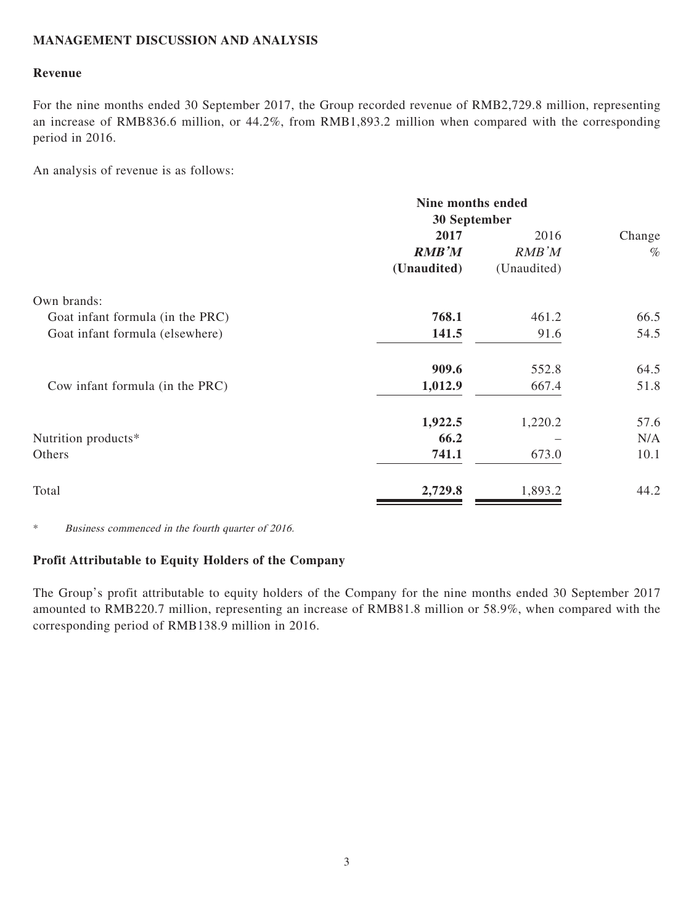### **MANAGEMENT DISCUSSION AND ANALYSIS**

### **Revenue**

For the nine months ended 30 September 2017, the Group recorded revenue of RMB2,729.8 million, representing an increase of RMB836.6 million, or 44.2%, from RMB1,893.2 million when compared with the corresponding period in 2016.

An analysis of revenue is as follows:

|                                  | Nine months ended<br>30 September |             |        |
|----------------------------------|-----------------------------------|-------------|--------|
|                                  |                                   |             |        |
|                                  | 2017                              | 2016        | Change |
|                                  | <b>RMB'M</b>                      | RMB'M       | $\%$   |
|                                  | (Unaudited)                       | (Unaudited) |        |
| Own brands:                      |                                   |             |        |
| Goat infant formula (in the PRC) | 768.1                             | 461.2       | 66.5   |
| Goat infant formula (elsewhere)  | 141.5                             | 91.6        | 54.5   |
|                                  | 909.6                             | 552.8       | 64.5   |
| Cow infant formula (in the PRC)  | 1,012.9                           | 667.4       | 51.8   |
|                                  | 1,922.5                           | 1,220.2     | 57.6   |
| Nutrition products*              | 66.2                              |             | N/A    |
| Others                           | 741.1                             | 673.0       | 10.1   |
| Total                            | 2,729.8                           | 1,893.2     | 44.2   |

\* Business commenced in the fourth quarter of 2016.

#### **Profit Attributable to Equity Holders of the Company**

The Group's profit attributable to equity holders of the Company for the nine months ended 30 September 2017 amounted to RMB220.7 million, representing an increase of RMB81.8 million or 58.9%, when compared with the corresponding period of RMB138.9 million in 2016.